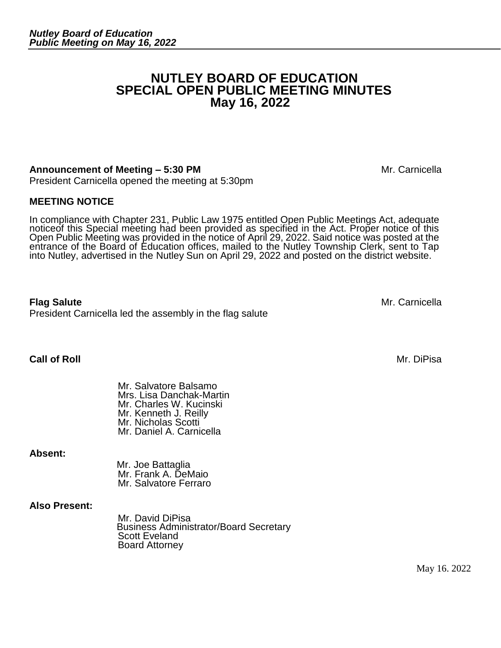# **NUTLEY BOARD OF EDUCATION SPECIAL OPEN PUBLIC MEETING MINUTES May 16, 2022**

## **Announcement of Meeting – 5:30 PM** Mr. Carnicella

President Carnicella opened the meeting at 5:30pm

## **MEETING NOTICE**

In compliance with Chapter 231, Public Law 1975 entitled Open Public Meetings Act, adequate noticeof this Special meeting had been provided as specified in the Act. Proper notice of this Open Public Meeting was provided in the notice of April 29, 2022. Said notice was posted at the entrance of the Board of Education offices, mailed to the Nutley Township Clerk, sent to Tap into Nutley, advertised in the Nutley Sun on April 29, 2022 and posted on the district website.

**Flag Salute** Mr. Carnicella

President Carnicella led the assembly in the flag salute

# **Call of Roll** Mr. DiPisa

Mr. Salvatore Balsamo Mrs. Lisa Danchak-Martin Mr. Charles W. Kucinski Mr. Kenneth J. Reilly Mr. Nicholas Scotti Mr. Daniel A. Carnicella

#### **Absent:**

 Mr. Joe Battaglia Mr. Frank A. DeMaio Mr. Salvatore Ferraro

#### **Also Present:**

Mr. David DiPisa Business Administrator/Board Secretary Scott Eveland Board Attorney

May 16. 2022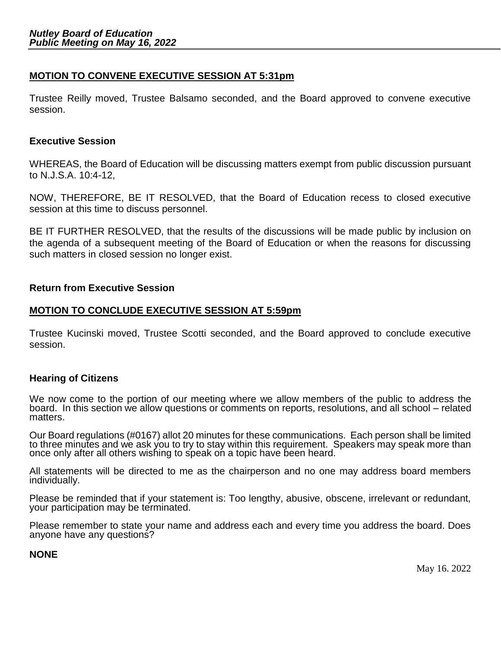# **MOTION TO CONVENE EXECUTIVE SESSION AT 5:31pm**

Trustee Reilly moved, Trustee Balsamo seconded, and the Board approved to convene executive session.

## **Executive Session**

WHEREAS, the Board of Education will be discussing matters exempt from public discussion pursuant to N.J.S.A. 10:4-12,

NOW, THEREFORE, BE IT RESOLVED, that the Board of Education recess to closed executive session at this time to discuss personnel.

BE IT FURTHER RESOLVED, that the results of the discussions will be made public by inclusion on the agenda of a subsequent meeting of the Board of Education or when the reasons for discussing such matters in closed session no longer exist.

## **Return from Executive Session**

## **MOTION TO CONCLUDE EXECUTIVE SESSION AT 5:59pm**

Trustee Kucinski moved, Trustee Scotti seconded, and the Board approved to conclude executive session.

#### **Hearing of Citizens**

We now come to the portion of our meeting where we allow members of the public to address the board. In this section we allow questions or comments on reports, resolutions, and all school – related matters.

Our Board regulations (#0167) allot 20 minutes for these communications. Each person shall be limited to three minutes and we ask you to try to stay within this requirement. Speakers may speak more than once only after all others wishing to speak on a topic have been heard.

All statements will be directed to me as the chairperson and no one may address board members individually.

Please be reminded that if your statement is: Too lengthy, abusive, obscene, irrelevant or redundant, your participation may be terminated.

Please remember to state your name and address each and every time you address the board. Does anyone have any questions?

#### **NONE**

May 16. 2022